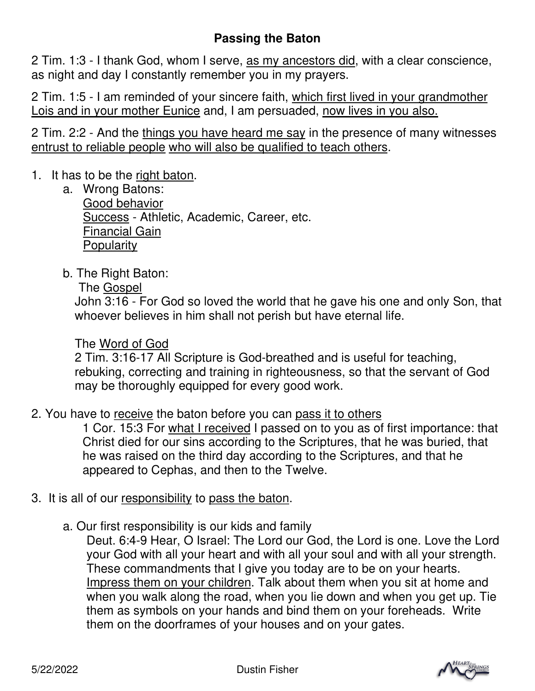## **Passing the Baton**

2 Tim. 1:3 - I thank God, whom I serve, as my ancestors did, with a clear conscience, as night and day I constantly remember you in my prayers.

2 Tim. 1:5 - I am reminded of your sincere faith, which first lived in your grandmother Lois and in your mother Eunice and, I am persuaded, now lives in you also.

2 Tim. 2:2 - And the things you have heard me say in the presence of many witnesses entrust to reliable people who will also be qualified to teach others.

## 1. It has to be the right baton.

- a. Wrong Batons: Good behavior Success - Athletic, Academic, Career, etc. Financial Gain **Popularity**
- b. The Right Baton:
	- The Gospel

John 3:16 - For God so loved the world that he gave his one and only Son, that whoever believes in him shall not perish but have eternal life.

## The Word of God

2 Tim. 3:16-17 All Scripture is God-breathed and is useful for teaching, rebuking, correcting and training in righteousness, so that the servant of God may be thoroughly equipped for every good work.

2. You have to receive the baton before you can pass it to others

1 Cor. 15:3 For what I received I passed on to you as of first importance: that Christ died for our sins according to the Scriptures, that he was buried, that he was raised on the third day according to the Scriptures, and that he appeared to Cephas, and then to the Twelve.

- 3. It is all of our responsibility to pass the baton.
	- a. Our first responsibility is our kids and family

Deut. 6:4-9 Hear, O Israel: The Lord our God, the Lord is one. Love the Lord your God with all your heart and with all your soul and with all your strength. These commandments that I give you today are to be on your hearts. Impress them on your children. Talk about them when you sit at home and when you walk along the road, when you lie down and when you get up. Tie them as symbols on your hands and bind them on your foreheads. Write them on the doorframes of your houses and on your gates.